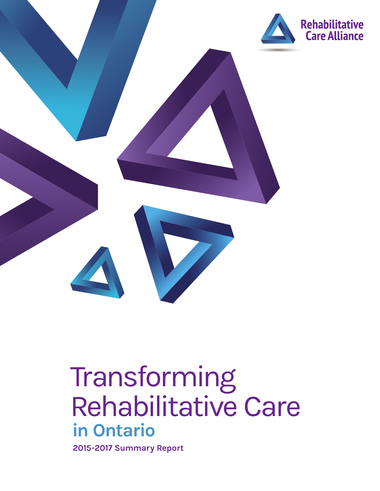

# **in Ontario** Transforming Rehabilitative Care

**2015-2017 Summary Report**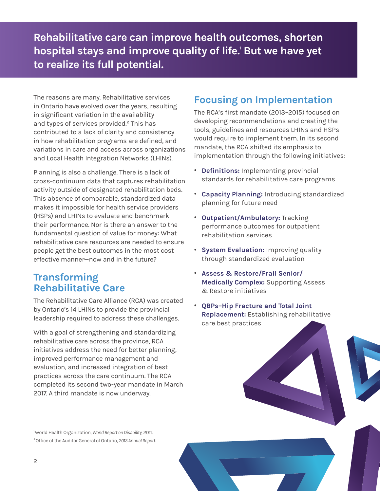**Rehabilitative care can improve health outcomes, shorten hospital stays and improve quality of life.1 But we have yet to realize its full potential.** 

The reasons are many. Rehabilitative services in Ontario have evolved over the years, resulting in significant variation in the availability and types of services provided.<sup>2</sup> This has contributed to a lack of clarity and consistency in how rehabilitation programs are defined, and variations in care and access across organizations and Local Health Integration Networks (LHINs).

Planning is also a challenge. There is a lack of cross-continuum data that captures rehabilitation activity outside of designated rehabilitation beds. This absence of comparable, standardized data makes it impossible for health service providers (HSPs) and LHINs to evaluate and benchmark their performance. Nor is there an answer to the fundamental question of value for money: What rehabilitative care resources are needed to ensure people get the best outcomes in the most cost effective manner—now and in the future?

## **Transforming Rehabilitative Care**

The Rehabilitative Care Alliance (RCA) was created by Ontario's 14 LHINs to provide the provincial leadership required to address these challenges.

With a goal of strengthening and standardizing rehabilitative care across the province, RCA initiatives address the need for better planning, improved performance management and evaluation, and increased integration of best practices across the care continuum. The RCA completed its second two-year mandate in March 2017. A third mandate is now underway.

## **Focusing on Implementation**

The RCA's first mandate (2013–2015) focused on developing recommendations and creating the tools, guidelines and resources LHINs and HSPs would require to implement them. In its second mandate, the RCA shifted its emphasis to implementation through the following initiatives:

- . **Definitions:** Implementing provincial standards for rehabilitative care programs
- . **Capacity Planning:** Introducing standardized planning for future need
- . **Outpatient/Ambulatory:** Tracking performance outcomes for outpatient rehabilitation services
- . **System Evaluation:** Improving quality through standardized evaluation
- . **Assess & Restore/Frail Senior/ Medically Complex:** Supporting Assess & Restore initiatives
- . **QBPs–Hip Fracture and Total Joint Replacement:** Establishing rehabilitative care best practices

1 World Health Organization, *World Report on Disability*, 2011. 2 Office of the Auditor General of Ontario, *2013 Annual Report.*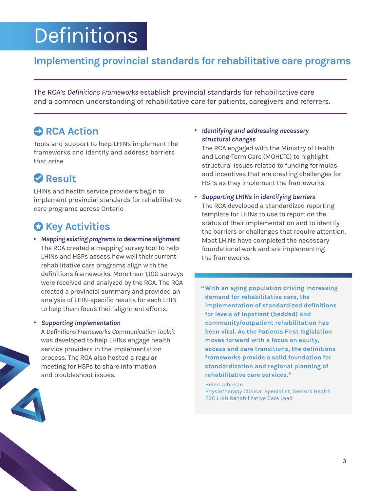# **Definitions**

## **Implementing provincial standards for rehabilitative care programs**

The RCA's *Definitions Frameworks* establish provincial standards for rehabilitative care and a common understanding of rehabilitative care for patients, caregivers and referrers.

## **C** RCA Action

Tools and support to help LHINs implement the frameworks and identify and address barriers that arise

# **Result**

LHINs and health service providers begin to implement provincial standards for rehabilitative care programs across Ontario

# *C* Key Activities

. *Mapping existing programs to determine alignment*  The RCA created a mapping survey tool to help LHINs and HSPs assess how well their current rehabilitative care programs align with the definitions frameworks. More than 1,100 surveys were received and analyzed by the RCA. The RCA created a provincial summary and provided an analysis of LHIN-specific results for each LHIN to help them focus their alignment efforts.

#### . *Supporting implementation*

A *Definitions Frameworks Communication Toolkit* was developed to help LHINs engage health service providers in the implementation process. The RCA also hosted a regular meeting for HSPs to share information and troubleshoot issues.



#### . *Identifying and addressing necessary structural changes*

The RCA engaged with the Ministry of Health and Long-Term Care (MOHLTC) to highlight structural issues related to funding formulas and incentives that are creating challenges for HSPs as they implement the frameworks.

- . *Supporting LHINs in identifying barriers* The RCA developed a standardized reporting template for LHINs to use to report on the status of their implementation and to identify the barriers or challenges that require attention. Most LHINs have completed the necessary foundational work and are implementing the frameworks.
	- **"With an aging population driving increasing demand for rehabilitative care, the implementation of standardized definitions for levels of inpatient (bedded) and community/outpatient rehabilitation has been vital. As the Patients First legislation moves forward with a focus on equity, access and care transitions, the definitions frameworks provide a solid foundation for standardization and regional planning of rehabilitative care services."**

Helen Johnson Physiotherapy Clinical Specialist, Seniors Health ESC LHIN Rehabilitative Care Lead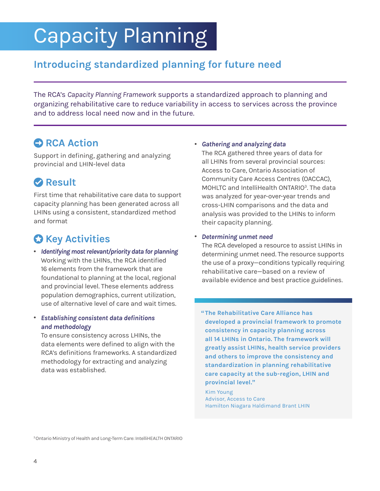# Capacity Planning

## **Introducing standardized planning for future need**

The RCA's *Capacity Planning Framework* supports a standardized approach to planning and organizing rehabilitative care to reduce variability in access to services across the province and to address local need now and in the future.

## **• RCA Action**

Support in defining, gathering and analyzing provincial and LHIN-level data

# **Result**

First time that rehabilitative care data to support capacity planning has been generated across all LHINs using a consistent, standardized method and format

# $\bullet$  **Key Activities**

- . *Identifying most relevant/priority data for planning* Working with the LHINs, the RCA identified 16 elements from the framework that are foundational to planning at the local, regional and provincial level. These elements address population demographics, current utilization, use of alternative level of care and wait times.
- . *Establishing consistent data definitions and methodology*

To ensure consistency across LHINs, the data elements were defined to align with the RCA's definitions frameworks. A standardized methodology for extracting and analyzing data was established.

#### . *Gathering and analyzing data*

The RCA gathered three years of data for all LHINs from several provincial sources: Access to Care, Ontario Association of Community Care Access Centres (OACCAC), MOHLTC and IntelliHealth ONTARIO<sup>3</sup>. The data was analyzed for year-over-year trends and cross-LHIN comparisons and the data and analysis was provided to the LHINs to inform their capacity planning.

#### . *Determining unmet need*

The RCA developed a resource to assist LHINs in determining unmet need. The resource supports the use of a proxy—conditions typically requiring rehabilitative care—based on a review of available evidence and best practice guidelines.

**"The Rehabilitative Care Alliance has developed a provincial framework to promote consistency in capacity planning across all 14 LHINs in Ontario. The framework will greatly assist LHINs, health service providers and others to improve the consistency and standardization in planning rehabilitative care capacity at the sub-region, LHIN and provincial level."**

Kim Young Advisor, Access to Care Hamilton Niagara Haldimand Brant LHIN

3 Ontario Ministry of Health and Long-Term Care: IntelliHEALTH ONTARIO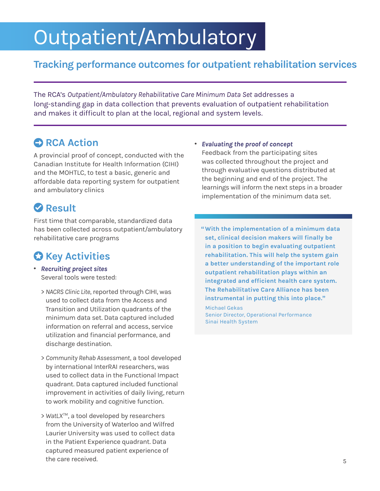# Outpatient/Ambulatory

## **Tracking performance outcomes for outpatient rehabilitation services**

The RCA's *Outpatient/Ambulatory Rehabilitative Care Minimum Data Set* addresses a long-standing gap in data collection that prevents evaluation of outpatient rehabilitation and makes it difficult to plan at the local, regional and system levels.

## **• RCA Action**

A provincial proof of concept, conducted with the Canadian Institute for Health Information (CIHI) and the MOHTLC, to test a basic, generic and affordable data reporting system for outpatient and ambulatory clinics

# **Result**

First time that comparable, standardized data has been collected across outpatient/ambulatory rehabilitative care programs

# *C* Key Activities

- . *Recruiting project sites* Several tools were tested:
	- > *NACRS Clinic Lite*, reported through CIHI, was used to collect data from the Access and Transition and Utilization quadrants of the minimum data set. Data captured included information on referral and access, service utilization and financial performance, and discharge destination.
	- > *Community Rehab Assessment*, a tool developed by international InterRAI researchers, was used to collect data in the Functional Impact quadrant. Data captured included functional improvement in activities of daily living, return to work mobility and cognitive function.
	- > *WatLXTM*, a tool developed by researchers from the University of Waterloo and Wilfred Laurier University was used to collect data in the Patient Experience quadrant. Data captured measured patient experience of the care received.
- . *Evaluating the proof of concept* Feedback from the participating sites was collected throughout the project and through evaluative questions distributed at the beginning and end of the project. The learnings will inform the next steps in a broader implementation of the minimum data set.
	- **"With the implementation of a minimum data set, clinical decision makers will finally be in a position to begin evaluating outpatient rehabilitation. This will help the system gain a better understanding of the important role outpatient rehabilitation plays within an integrated and efficient health care system. The Rehabilitative Care Alliance has been instrumental in putting this into place."**

Michael Gekas Senior Director, Operational Performance Sinai Health System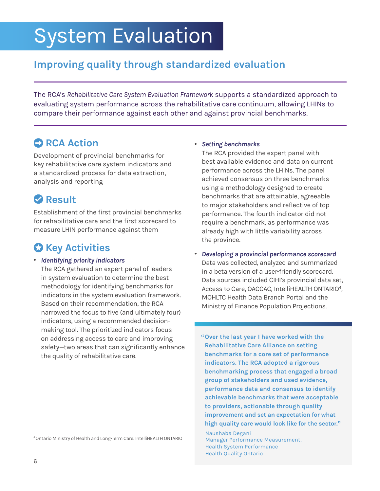# System Evaluation

# **Improving quality through standardized evaluation**

The RCA's *Rehabilitative Care System Evaluation Framework* supports a standardized approach to evaluating system performance across the rehabilitative care continuum, allowing LHINs to compare their performance against each other and against provincial benchmarks.

## **• RCA Action**

Development of provincial benchmarks for key rehabilitative care system indicators and a standardized process for data extraction, analysis and reporting

## **Result**

Establishment of the first provincial benchmarks for rehabilitative care and the first scorecard to measure LHIN performance against them

# *C* Key Activities

#### . *Identifying priority indicators*

The RCA gathered an expert panel of leaders in system evaluation to determine the best methodology for identifying benchmarks for indicators in the system evaluation framework. Based on their recommendation, the RCA narrowed the focus to five (and ultimately four) indicators, using a recommended decisionmaking tool. The prioritized indicators focus on addressing access to care and improving safety—two areas that can significantly enhance the quality of rehabilitative care.

4 Ontario Ministry of Health and Long-Term Care: IntelliHEALTH ONTARIO

#### . *Setting benchmarks*

The RCA provided the expert panel with best available evidence and data on current performance across the LHINs. The panel achieved consensus on three benchmarks using a methodology designed to create benchmarks that are attainable, agreeable to major stakeholders and reflective of top performance. The fourth indicator did not require a benchmark, as performance was already high with little variability across the province.

. *Developing a provincial performance scorecard* Data was collected, analyzed and summarized in a beta version of a user-friendly scorecard. Data sources included CIHI's provincial data set, Access to Care, OACCAC, IntelliHEALTH ONTARIO<sup>4</sup>, MOHLTC Health Data Branch Portal and the Ministry of Finance Population Projections.

**"Over the last year I have worked with the Rehabilitative Care Alliance on setting benchmarks for a core set of performance indicators. The RCA adopted a rigorous benchmarking process that engaged a broad group of stakeholders and used evidence, performance data and consensus to identify achievable benchmarks that were acceptable to providers, actionable through quality improvement and set an expectation for what high quality care would look like for the sector."**

Naushaba Degani Manager Performance Measurement, Health System Performance Health Quality Ontario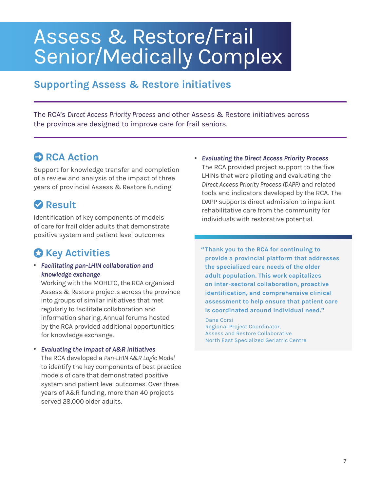# Assess & Restore/Frail Senior/Medically Complex

## **Supporting Assess & Restore initiatives**

The RCA's *Direct Access Priority Process* and other Assess & Restore initiatives across the province are designed to improve care for frail seniors.

## $RCA$  Action

Support for knowledge transfer and completion of a review and analysis of the impact of three years of provincial Assess & Restore funding

# **Result**

Identification of key components of models of care for frail older adults that demonstrate positive system and patient level outcomes

# *C* Key Activities

. *Facilitating pan-LHIN collaboration and knowledge exchange*

Working with the MOHLTC, the RCA organized Assess & Restore projects across the province into groups of similar initiatives that met regularly to facilitate collaboration and information sharing. Annual forums hosted by the RCA provided additional opportunities for knowledge exchange.

#### . *Evaluating the impact of A&R initiatives*

The RCA developed a *Pan-LHIN A&R Logic Model*  to identify the key components of best practice models of care that demonstrated positive system and patient level outcomes. Over three years of A&R funding, more than 40 projects served 28,000 older adults.

. *Evaluating the Direct Access Priority Process* The RCA provided project support to the five LHINs that were piloting and evaluating the *Direct Access Priority Process (DAPP)* and related tools and indicators developed by the RCA. The DAPP supports direct admission to inpatient rehabilitative care from the community for individuals with restorative potential.

**"Thank you to the RCA for continuing to provide a provincial platform that addresses the specialized care needs of the older adult population. This work capitalizes on inter-sectoral collaboration, proactive identification, and comprehensive clinical assessment to help ensure that patient care is coordinated around individual need."**

Dana Corsi Regional Project Coordinator, Assess and Restore Collaborative North East Specialized Geriatric Centre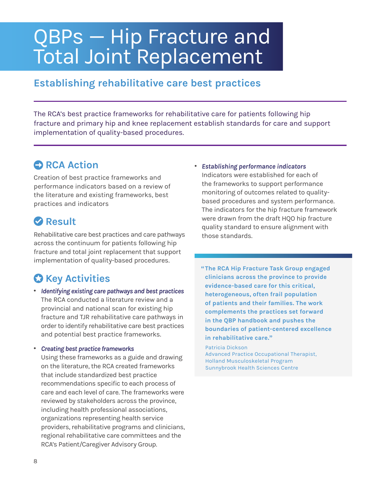# QBPs — Hip Fracture and Total Joint Replacement

### **Establishing rehabilitative care best practices**

The RCA's best practice frameworks for rehabilitative care for patients following hip fracture and primary hip and knee replacement establish standards for care and support implementation of quality-based procedures.

## **C** RCA Action

Creation of best practice frameworks and performance indicators based on a review of the literature and existing frameworks, best practices and indicators

## **Result**

Rehabilitative care best practices and care pathways across the continuum for patients following hip fracture and total joint replacement that support implementation of quality-based procedures.

# $\Omega$  **Key Activities**

. *Identifying existing care pathways and best practices* The RCA conducted a literature review and a provincial and national scan for existing hip fracture and TJR rehabilitative care pathways in order to identify rehabilitative care best practices and potential best practice frameworks.

. *Creating best practice frameworks*

Using these frameworks as a guide and drawing on the literature, the RCA created frameworks that include standardized best practice recommendations specific to each process of care and each level of care. The frameworks were reviewed by stakeholders across the province, including health professional associations, organizations representing health service providers, rehabilitative programs and clinicians, regional rehabilitative care committees and the RCA's Patient/Caregiver Advisory Group.

. *Establishing performance indicators* Indicators were established for each of the frameworks to support performance monitoring of outcomes related to qualitybased procedures and system performance. The indicators for the hip fracture framework were drawn from the draft HQO hip fracture quality standard to ensure alignment with those standards.

**"The RCA Hip Fracture Task Group engaged clinicians across the province to provide evidence-based care for this critical, heterogeneous, often frail population of patients and their families. The work complements the practices set forward in the QBP handbook and pushes the boundaries of patient-centered excellence in rehabilitative care."**

Patricia Dickson Advanced Practice Occupational Therapist, Holland Musculoskeletal Program Sunnybrook Health Sciences Centre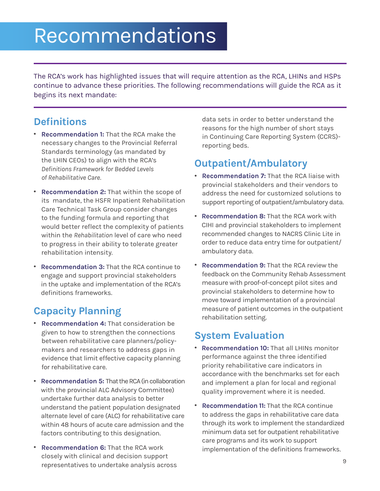# Recommendations

The RCA's work has highlighted issues that will require attention as the RCA, LHINs and HSPs continue to advance these priorities. The following recommendations will guide the RCA as it begins its next mandate:

### **Definitions**

- . **Recommendation 1:** That the RCA make the necessary changes to the Provincial Referral Standards terminology (as mandated by the LHIN CEOs) to align with the RCA's *Definitions Framework for Bedded Levels of Rehabilitative Care.*
- . **Recommendation 2:** That within the scope of its mandate, the HSFR Inpatient Rehabilitation Care Technical Task Group consider changes to the funding formula and reporting that would better reflect the complexity of patients within the *Rehabilitation* level of care who need to progress in their ability to tolerate greater rehabilitation intensity.
- . **Recommendation 3:** That the RCA continue to engage and support provincial stakeholders in the uptake and implementation of the RCA's definitions frameworks.

## **Capacity Planning**

- . **Recommendation 4:** That consideration be given to how to strengthen the connections between rehabilitative care planners/policymakers and researchers to address gaps in evidence that limit effective capacity planning for rehabilitative care.
- . **Recommendation 5:** That the RCA (in collaboration with the provincial ALC Advisory Committee) undertake further data analysis to better understand the patient population designated alternate level of care (ALC) for rehabilitative care within 48 hours of acute care admission and the factors contributing to this designation.
- . **Recommendation 6:** That the RCA work closely with clinical and decision support representatives to undertake analysis across

data sets in order to better understand the reasons for the high number of short stays in Continuing Care Reporting System (CCRS) reporting beds.

## **Outpatient/Ambulatory**

- . **Recommendation 7:** That the RCA liaise with provincial stakeholders and their vendors to address the need for customized solutions to support reporting of outpatient/ambulatory data.
- . **Recommendation 8:** That the RCA work with CIHI and provincial stakeholders to implement recommended changes to NACRS Clinic Lite in order to reduce data entry time for outpatient/ ambulatory data.
- . **Recommendation 9:** That the RCA review the feedback on the Community Rehab Assessment measure with proof-of-concept pilot sites and provincial stakeholders to determine how to move toward implementation of a provincial measure of patient outcomes in the outpatient rehabilitation setting.

## **System Evaluation**

- . **Recommendation 10:** That all LHINs monitor performance against the three identified priority rehabilitative care indicators in accordance with the benchmarks set for each and implement a plan for local and regional quality improvement where it is needed.
- . **Recommendation 11:** That the RCA continue to address the gaps in rehabilitative care data through its work to implement the standardized minimum data set for outpatient rehabilitative care programs and its work to support implementation of the definitions frameworks.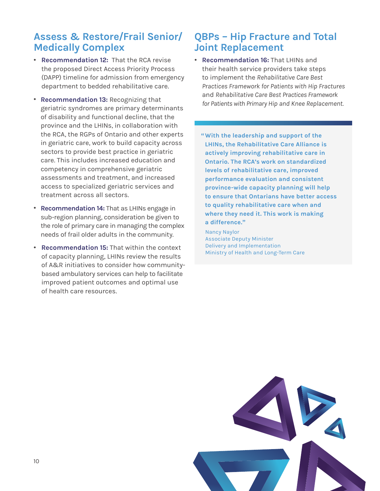### **Assess & Restore/Frail Senior/ Medically Complex**

- . **Recommendation 12:** That the RCA revise the proposed Direct Access Priority Process (DAPP) timeline for admission from emergency department to bedded rehabilitative care.
- . **Recommendation 13:** Recognizing that geriatric syndromes are primary determinants of disability and functional decline, that the province and the LHINs, in collaboration with the RCA, the RGPs of Ontario and other experts in geriatric care, work to build capacity across sectors to provide best practice in geriatric care. This includes increased education and competency in comprehensive geriatric assessments and treatment, and increased access to specialized geriatric services and treatment across all sectors.
- . **Recommendation 14:** That as LHINs engage in sub-region planning, consideration be given to the role of primary care in managing the complex needs of frail older adults in the community.
- . **Recommendation 15:** That within the context of capacity planning, LHINs review the results of A&R initiatives to consider how communitybased ambulatory services can help to facilitate improved patient outcomes and optimal use of health care resources.

## **QBPs – Hip Fracture and Total Joint Replacement**

- . **Recommendation 16:** That LHINs and their health service providers take steps to implement the *Rehabilitative Care Best Practices Framework for Patients with Hip Fractures* and *Rehabilitative Care Best Practices Framework for Patients with Primary Hip and Knee Replacement.*
	- **"With the leadership and support of the LHINs, the Rehabilitative Care Alliance is actively improving rehabilitative care in Ontario. The RCA's work on standardized levels of rehabilitative care, improved performance evaluation and consistent province-wide capacity planning will help to ensure that Ontarians have better access to quality rehabilitative care when and where they need it. This work is making a difference."**

Nancy Naylor Associate Deputy Minister Delivery and Implementation Ministry of Health and Long-Term Care

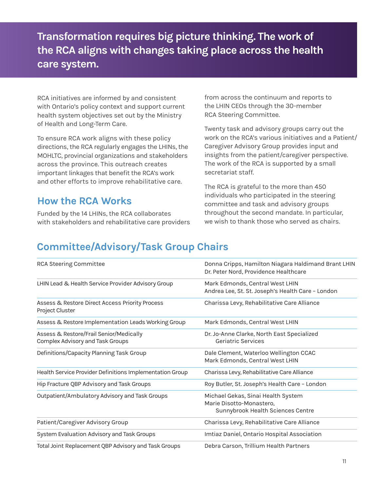**Transformation requires big picture thinking. The work of the RCA aligns with changes taking place across the health care system.**

RCA initiatives are informed by and consistent with Ontario's policy context and support current health system objectives set out by the Ministry of Health and Long-Term Care.

To ensure RCA work aligns with these policy directions, the RCA regularly engages the LHINs, the MOHLTC, provincial organizations and stakeholders across the province. This outreach creates important linkages that benefit the RCA's work and other efforts to improve rehabilitative care.

### **How the RCA Works**

Funded by the 14 LHINs, the RCA collaborates with stakeholders and rehabilitative care providers from across the continuum and reports to the LHIN CEOs through the 30-member RCA Steering Committee.

Twenty task and advisory groups carry out the work on the RCA's various initiatives and a Patient/ Caregiver Advisory Group provides input and insights from the patient/caregiver perspective. The work of the RCA is supported by a small secretariat staff.

The RCA is grateful to the more than 450 individuals who participated in the steering committee and task and advisory groups throughout the second mandate. In particular, we wish to thank those who served as chairs.

## **Committee/Advisory/Task Group Chairs**

| RCA Steering Committee                                                      | Donna Cripps, Hamilton Niagara Haldimand Brant LHIN<br>Dr. Peter Nord, Providence Healthcare        |
|-----------------------------------------------------------------------------|-----------------------------------------------------------------------------------------------------|
| LHIN Lead & Health Service Provider Advisory Group                          | Mark Edmonds, Central West LHIN<br>Andrea Lee, St. St. Joseph's Health Care - London                |
| Assess & Restore Direct Access Priority Process<br>Project Cluster          | Charissa Levy, Rehabilitative Care Alliance                                                         |
| Assess & Restore Implementation Leads Working Group                         | Mark Edmonds, Central West LHIN                                                                     |
| Assess & Restore/Frail Senior/Medically<br>Complex Advisory and Task Groups | Dr. Jo-Anne Clarke, North East Specialized<br>Geriatric Services                                    |
| Definitions/Capacity Planning Task Group                                    | Dale Clement, Waterloo Wellington CCAC<br>Mark Edmonds, Central West LHIN                           |
| Health Service Provider Definitions Implementation Group                    | Charissa Levy, Rehabilitative Care Alliance                                                         |
| Hip Fracture QBP Advisory and Task Groups                                   | Roy Butler, St. Joseph's Health Care - London                                                       |
| Outpatient/Ambulatory Advisory and Task Groups                              | Michael Gekas, Sinai Health System<br>Marie Disotto-Monastero,<br>Sunnybrook Health Sciences Centre |
| Patient/Caregiver Advisory Group                                            | Charissa Levy, Rehabilitative Care Alliance                                                         |
| System Evaluation Advisory and Task Groups                                  | Imtiaz Daniel, Ontario Hospital Association                                                         |
| Total Joint Replacement QBP Advisory and Task Groups                        | Debra Carson, Trillium Health Partners                                                              |